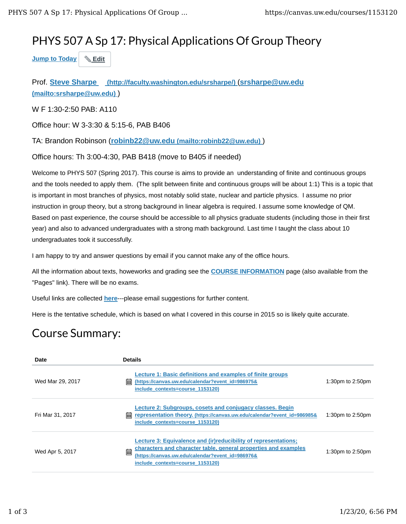## PHYS 507 A Sp 17: Physical Applications Of Group Theory

**Jump to Today Edit**

Prof. **Steve Sharpe (http://faculty.washington.edu/srsharpe/)** (**srsharpe@uw.edu (mailto:srsharpe@uw.edu)** )

W F 1:30-2:50 PAB: A110

Office hour: W 3-3:30 & 5:15-6, PAB B406

TA: Brandon Robinson (**robinb22@uw.edu (mailto:robinb22@uw.edu)** )

Office hours: Th 3:00-4:30, PAB B418 (move to B405 if needed)

Welcome to PHYS 507 (Spring 2017). This course is aims to provide an understanding of finite and continuous groups and the tools needed to apply them. (The split between finite and continuous groups will be about 1:1) This is a topic that is important in most branches of physics, most notably solid state, nuclear and particle physics. I assume no prior instruction in group theory, but a strong background in linear algebra is required. I assume some knowledge of QM. Based on past experience, the course should be accessible to all physics graduate students (including those in their first year) and also to advanced undergraduates with a strong math background. Last time I taught the class about 10 undergraduates took it successfully.

I am happy to try and answer questions by email if you cannot make any of the office hours.

All the information about texts, howeworks and grading see the **COURSE INFORMATION** page (also available from the "Pages" link). There will be no exams.

Useful links are collected **here**---please email suggestions for further content.

Here is the tentative schedule, which is based on what I covered in this course in 2015 so is likely quite accurate.

## Course Summary:

| Date             | <b>Details</b>                                                                                                                                                                                                                   |                  |
|------------------|----------------------------------------------------------------------------------------------------------------------------------------------------------------------------------------------------------------------------------|------------------|
| Wed Mar 29, 2017 | Lecture 1: Basic definitions and examples of finite groups<br>酾<br>(https://canvas.uw.edu/calendar?event_id=986975&<br>include contexts=course 1153120)                                                                          | 1:30pm to 2:50pm |
| Fri Mar 31, 2017 | Lecture 2: Subgroups, cosets and conjugacy classes. Begin<br>臝<br>representation theory. (https://canvas.uw.edu/calendar?event_id=986985&<br>include contexts=course 1153120)                                                    | 1:30pm to 2:50pm |
| Wed Apr 5, 2017  | Lecture 3: Equivalence and (ir) reducibility of representations;<br>characters and character table, general properties and examples<br>■<br>(https://canvas.uw.edu/calendar?event_id=986976&<br>include contexts=course 1153120) | 1:30pm to 2:50pm |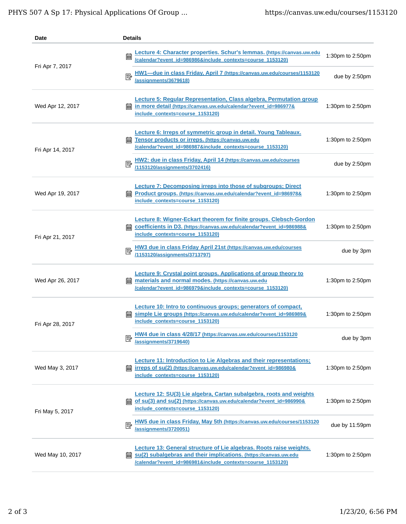| Date             | <b>Details</b>                                                                                                                                                                                             |                     |
|------------------|------------------------------------------------------------------------------------------------------------------------------------------------------------------------------------------------------------|---------------------|
| Fri Apr 7, 2017  | Lecture 4: Character properties. Schur's lemmas. (https://canvas.uw.edu<br>匾<br>Icalendar?event_id=986986&include_contexts=course_1153120)                                                                 | 1:30pm to 2:50pm    |
|                  | HW1---due in class Friday, April 7 (https://canvas.uw.edu/courses/1153120<br>國<br>lassignments/3679618)                                                                                                    | due by 2:50pm       |
| Wed Apr 12, 2017 | <b>Lecture 5: Regular Representation, Class algebra, Permutation group</b><br>in more detail (https://canvas.uw.edu/calendar?event_id=986977&<br>include_contexts=course_1153120)                          | 1:30pm to 2:50pm    |
| Fri Apr 14, 2017 | Lecture 6: Irreps of symmetric group in detail. Young Tableaux.<br>Tensor products or irreps. (https://canvas.uw.edu<br>翩<br>/calendar?event_id=986987&include_contexts=course_1153120)                    | 1:30pm to 2:50pm    |
|                  | HW2: due in class Friday, April 14 (https://canvas.uw.edu/courses<br>國<br>/1153120/assignments/3702416)                                                                                                    | due by 2:50pm       |
| Wed Apr 19, 2017 | Lecture 7: Decomposing irreps into those of subgroups; Direct<br><b>and Product groups. (https://canvas.uw.edu/calendar?event_id=986978&amp;</b><br>include_contexts=course_1153120)                       | 1:30pm to 2:50pm    |
| Fri Apr 21, 2017 | <b>Lecture 8: Wigner-Eckart theorem for finite groups. Clebsch-Gordon</b><br>coefficients in D3. (https://canvas.uw.edu/calendar?event_id=986988&<br>臝<br>include_contexts=course_1153120)                 | 1:30pm to 2:50pm    |
|                  | HW3 due in class Friday April 21st (https://canvas.uw.edu/courses<br>/1153120/assignments/3713797)                                                                                                         | due by 3pm          |
| Wed Apr 26, 2017 | <b>Lecture 9: Crystal point groups. Applications of group theory to</b><br>materials and normal modes. (https://canvas.uw.edu<br>翩<br>/calendar?event_id=986979&include_contexts=course_1153120)           | 1:30pm to 2:50pm    |
| Fri Apr 28, 2017 | <b>Lecture 10: Intro to continuous groups; generators of compact,</b><br>simple Lie groups (https://canvas.uw.edu/calendar?event_id=986989&<br>翩<br>include_contexts=course_1153120)                       | 1:30pm to $2:50$ pm |
|                  | HW4 due in class 4/28/17 (https://canvas.uw.edu/courses/1153120<br>國<br>lassignments/3719640)                                                                                                              | due by 3pm          |
| Wed May 3, 2017  | <b>Lecture 11: Introduction to Lie Algebras and their representations;</b><br>irreps of su(2) (https://canvas.uw.edu/calendar?event_id=986980&<br>酾<br>include_contexts=course_1153120)                    | 1:30pm to 2:50pm    |
| Fri May 5, 2017  | Lecture 12: SU(3) Lie algebra, Cartan subalgebra, roots and weights<br>of su(3) and su(2) (https://canvas.uw.edu/calendar?event_id=986990&<br>include contexts=course 1153120)                             | 1:30pm to 2:50pm    |
|                  | HW5 due in class Friday, May 5th (https://canvas.uw.edu/courses/1153120<br>垦<br>lassignments/3720051)                                                                                                      | due by 11:59pm      |
| Wed May 10, 2017 | Lecture 13: General structure of Lie algebras. Roots raise weights.<br>su(2) subalgebras and their implications. (https://canvas.uw.edu<br>酾<br>/calendar?event_id=986981&include_contexts=course_1153120) | 1:30pm to 2:50pm    |